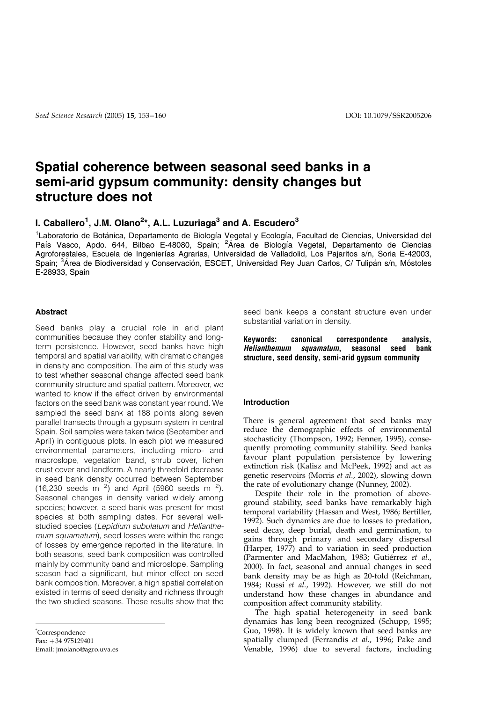# Spatial coherence between seasonal seed banks in a semi-arid gypsum community: density changes but structure does not

# l. Caballero<sup>1</sup>, J.M. Olano<sup>2</sup>\*, A.L. Luzuriaga<sup>3</sup> and A. Escudero<sup>3</sup>

<sup>1</sup>Laboratorio de Botánica, Departamento de Biología Vegetal y Ecología, Facultad de Ciencias, Universidad del País Vasco, Apdo. 644, Bilbao E-48080, Spain; <sup>2</sup>Área de Biología Vegetal, Departamento de Ciencias Agroforestales, Escuela de Ingenierías Agrarias, Universidad de Valladolid, Los Pajaritos s/n, Soria E-42003, Spain; <sup>3</sup>Área de Biodiversidad y Conservación, ESCET, Universidad Rey Juan Carlos, C/ Tulipán s/n, Móstoles E-28933, Spain

# Abstract

Seed banks play a crucial role in arid plant communities because they confer stability and longterm persistence. However, seed banks have high temporal and spatial variability, with dramatic changes in density and composition. The aim of this study was to test whether seasonal change affected seed bank community structure and spatial pattern. Moreover, we wanted to know if the effect driven by environmental factors on the seed bank was constant year round. We sampled the seed bank at 188 points along seven parallel transects through a gypsum system in central Spain. Soil samples were taken twice (September and April) in contiguous plots. In each plot we measured environmental parameters, including micro- and macroslope, vegetation band, shrub cover, lichen crust cover and landform. A nearly threefold decrease in seed bank density occurred between September (16,230 seeds  $m^{-2}$ ) and April (5960 seeds  $m^{-2}$ ). Seasonal changes in density varied widely among species; however, a seed bank was present for most species at both sampling dates. For several wellstudied species (Lepidium subulatum and Helianthemum squamatum), seed losses were within the range of losses by emergence reported in the literature. In both seasons, seed bank composition was controlled mainly by community band and microslope. Sampling season had a significant, but minor effect on seed bank composition. Moreover, a high spatial correlation existed in terms of seed density and richness through the two studied seasons. These results show that the

\* Correspondence Fax: +34 975129401 Email: jmolano@agro.uva.es seed bank keeps a constant structure even under substantial variation in density.

Keywords: canonical correspondence analysis, Helianthemum squamatum, seasonal seed bank structure, seed density, semi-arid gypsum community

#### Introduction

There is general agreement that seed banks may reduce the demographic effects of environmental stochasticity (Thompson, 1992; Fenner, 1995), consequently promoting community stability. Seed banks favour plant population persistence by lowering extinction risk (Kalisz and McPeek, 1992) and act as genetic reservoirs (Morris et al., 2002), slowing down the rate of evolutionary change (Nunney, 2002).

Despite their role in the promotion of aboveground stability, seed banks have remarkably high temporal variability (Hassan and West, 1986; Bertiller, 1992). Such dynamics are due to losses to predation, seed decay, deep burial, death and germination, to gains through primary and secondary dispersal (Harper, 1977) and to variation in seed production (Parmenter and MacMahon, 1983; Gutiérrez et al., 2000). In fact, seasonal and annual changes in seed bank density may be as high as 20-fold (Reichman, 1984; Russi et al., 1992). However, we still do not understand how these changes in abundance and composition affect community stability.

The high spatial heterogeneity in seed bank dynamics has long been recognized (Schupp, 1995; Guo, 1998). It is widely known that seed banks are spatially clumped (Ferrandis et al., 1996; Pake and Venable, 1996) due to several factors, including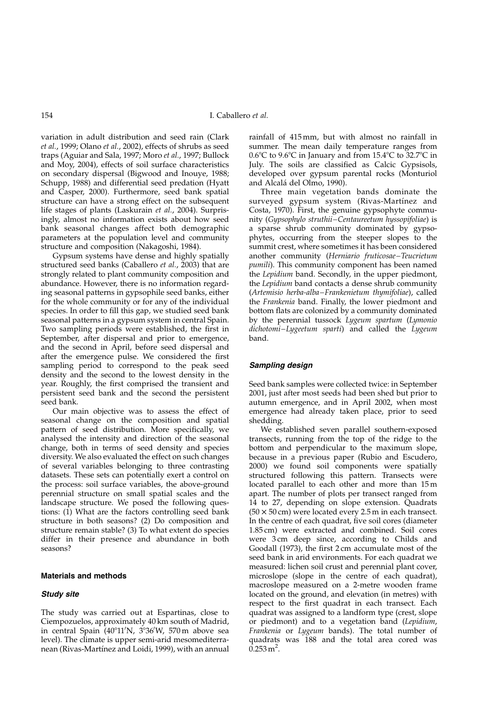variation in adult distribution and seed rain (Clark et al., 1999; Olano et al., 2002), effects of shrubs as seed traps (Aguiar and Sala, 1997; Moro et al., 1997; Bullock and Moy, 2004), effects of soil surface characteristics on secondary dispersal (Bigwood and Inouye, 1988; Schupp, 1988) and differential seed predation (Hyatt and Casper, 2000). Furthermore, seed bank spatial structure can have a strong effect on the subsequent life stages of plants (Laskurain et al., 2004). Surprisingly, almost no information exists about how seed bank seasonal changes affect both demographic parameters at the population level and community structure and composition (Nakagoshi, 1984).

Gypsum systems have dense and highly spatially structured seed banks (Caballero et al., 2003) that are strongly related to plant community composition and abundance. However, there is no information regarding seasonal patterns in gypsophile seed banks, either for the whole community or for any of the individual species. In order to fill this gap, we studied seed bank seasonal patterns in a gypsum system in central Spain. Two sampling periods were established, the first in September, after dispersal and prior to emergence, and the second in April, before seed dispersal and after the emergence pulse. We considered the first sampling period to correspond to the peak seed density and the second to the lowest density in the year. Roughly, the first comprised the transient and persistent seed bank and the second the persistent seed bank.

Our main objective was to assess the effect of seasonal change on the composition and spatial pattern of seed distribution. More specifically, we analysed the intensity and direction of the seasonal change, both in terms of seed density and species diversity. We also evaluated the effect on such changes of several variables belonging to three contrasting datasets. These sets can potentially exert a control on the process: soil surface variables, the above-ground perennial structure on small spatial scales and the landscape structure. We posed the following questions: (1) What are the factors controlling seed bank structure in both seasons? (2) Do composition and structure remain stable? (3) To what extent do species differ in their presence and abundance in both seasons?

#### Materials and methods

#### Study site

The study was carried out at Espartinas, close to Ciempozuelos, approximately 40 km south of Madrid, in central Spain (40°11'N, 3°36'W, 570m above sea level). The climate is upper semi-arid mesomediterranean (Rivas-Martínez and Loidi, 1999), with an annual

rainfall of 415 mm, but with almost no rainfall in summer. The mean daily temperature ranges from  $0.6^{\circ}$ C to  $9.6^{\circ}$ C in January and from  $15.4^{\circ}$ C to  $32.7^{\circ}$ C in July. The soils are classified as Calcic Gypsisols, developed over gypsum parental rocks (Monturiol and Alcalá del Olmo, 1990).

Three main vegetation bands dominate the surveyed gypsum system (Rivas-Martínez and Costa, 1970). First, the genuine gypsophyte community (Gypsophylo struthii–Centaureetum hyssopifoliae) is a sparse shrub community dominated by gypsophytes, occurring from the steeper slopes to the summit crest, where sometimes it has been considered another community (Herniario fruticosae–Teucrietum pumili). This community component has been named the Lepidium band. Secondly, in the upper piedmont, the Lepidium band contacts a dense shrub community (Artemisio herba-alba–Frankenietum thymifoliae), called the Frankenia band. Finally, the lower piedmont and bottom flats are colonized by a community dominated by the perennial tussock Lygeum spartum (Lymonio dichotomi–Lygeetum sparti) and called the Lygeum band.

#### Sampling design

Seed bank samples were collected twice: in September 2001, just after most seeds had been shed but prior to autumn emergence, and in April 2002, when most emergence had already taken place, prior to seed shedding.

We established seven parallel southern-exposed transects, running from the top of the ridge to the bottom and perpendicular to the maximum slope, because in a previous paper (Rubio and Escudero, 2000) we found soil components were spatially structured following this pattern. Transects were located parallel to each other and more than 15 m apart. The number of plots per transect ranged from 14 to 27, depending on slope extension. Quadrats  $(50 \times 50 \text{ cm})$  were located every 2.5 m in each transect. In the centre of each quadrat, five soil cores (diameter 1.85 cm) were extracted and combined. Soil cores were 3 cm deep since, according to Childs and Goodall (1973), the first 2 cm accumulate most of the seed bank in arid environments. For each quadrat we measured: lichen soil crust and perennial plant cover, microslope (slope in the centre of each quadrat), macroslope measured on a 2-metre wooden frame located on the ground, and elevation (in metres) with respect to the first quadrat in each transect. Each quadrat was assigned to a landform type (crest, slope or piedmont) and to a vegetation band (Lepidium, Frankenia or Lygeum bands). The total number of quadrats was 188 and the total area cored was  $0.253 \,\mathrm{m}^2$ .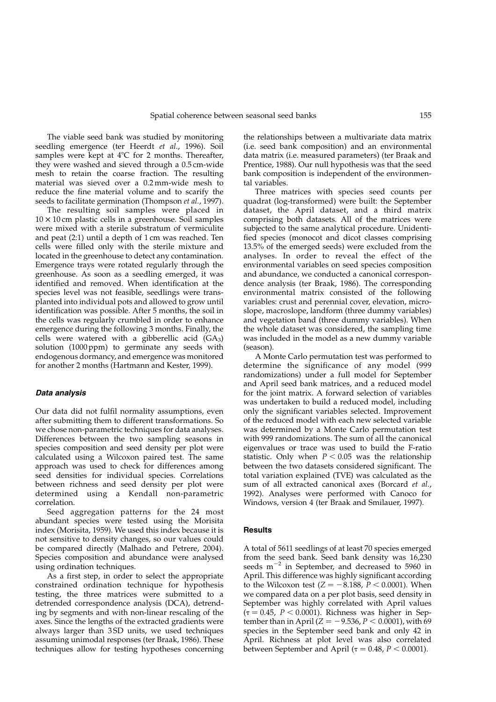The viable seed bank was studied by monitoring seedling emergence (ter Heerdt et al., 1996). Soil samples were kept at  $4^{\circ}C$  for 2 months. Thereafter, they were washed and sieved through a 0.5 cm-wide mesh to retain the coarse fraction. The resulting material was sieved over a 0.2 mm-wide mesh to reduce the fine material volume and to scarify the seeds to facilitate germination (Thompson et al., 1997).

The resulting soil samples were placed in  $10 \times 10$  cm plastic cells in a greenhouse. Soil samples were mixed with a sterile substratum of vermiculite and peat (2:1) until a depth of 1 cm was reached. Ten cells were filled only with the sterile mixture and located in the greenhouse to detect any contamination. Emergence trays were rotated regularly through the greenhouse. As soon as a seedling emerged, it was identified and removed. When identification at the species level was not feasible, seedlings were transplanted into individual pots and allowed to grow until identification was possible. After 5 months, the soil in the cells was regularly crumbled in order to enhance emergence during the following 3 months. Finally, the cells were watered with a gibberellic acid  $(GA_3)$ solution (1000 ppm) to germinate any seeds with endogenous dormancy, and emergence was monitored for another 2 months (Hartmann and Kester, 1999).

#### Data analysis

Our data did not fulfil normality assumptions, even after submitting them to different transformations. So we chose non-parametric techniques for data analyses. Differences between the two sampling seasons in species composition and seed density per plot were calculated using a Wilcoxon paired test. The same approach was used to check for differences among seed densities for individual species. Correlations between richness and seed density per plot were determined using a Kendall non-parametric correlation.

Seed aggregation patterns for the 24 most abundant species were tested using the Morisita index (Morisita, 1959). We used this index because it is not sensitive to density changes, so our values could be compared directly (Malhado and Petrere, 2004). Species composition and abundance were analysed using ordination techniques.

As a first step, in order to select the appropriate constrained ordination technique for hypothesis testing, the three matrices were submitted to a detrended correspondence analysis (DCA), detrending by segments and with non-linear rescaling of the axes. Since the lengths of the extracted gradients were always larger than 3 SD units, we used techniques assuming unimodal responses (ter Braak, 1986). These techniques allow for testing hypotheses concerning the relationships between a multivariate data matrix (i.e. seed bank composition) and an environmental data matrix (i.e. measured parameters) (ter Braak and Prentice, 1988). Our null hypothesis was that the seed bank composition is independent of the environmental variables.

Three matrices with species seed counts per quadrat (log-transformed) were built: the September dataset, the April dataset, and a third matrix comprising both datasets. All of the matrices were subjected to the same analytical procedure. Unidentified species (monocot and dicot classes comprising 13.5% of the emerged seeds) were excluded from the analyses. In order to reveal the effect of the environmental variables on seed species composition and abundance, we conducted a canonical correspondence analysis (ter Braak, 1986). The corresponding environmental matrix consisted of the following variables: crust and perennial cover, elevation, microslope, macroslope, landform (three dummy variables) and vegetation band (three dummy variables). When the whole dataset was considered, the sampling time was included in the model as a new dummy variable (season).

A Monte Carlo permutation test was performed to determine the significance of any model (999 randomizations) under a full model for September and April seed bank matrices, and a reduced model for the joint matrix. A forward selection of variables was undertaken to build a reduced model, including only the significant variables selected. Improvement of the reduced model with each new selected variable was determined by a Monte Carlo permutation test with 999 randomizations. The sum of all the canonical eigenvalues or trace was used to build the F-ratio statistic. Only when  $P < 0.05$  was the relationship between the two datasets considered significant. The total variation explained (TVE) was calculated as the sum of all extracted canonical axes (Borcard et al., 1992). Analyses were performed with Canoco for Windows, version 4 (ter Braak and Smilauer, 1997).

#### **Results**

A total of 5611 seedlings of at least 70 species emerged from the seed bank. Seed bank density was 16,230 seeds  $m^{-2}$  in September, and decreased to 5960 in April. This difference was highly significant according to the Wilcoxon test ( $Z = -8.188$ ,  $P < 0.0001$ ). When we compared data on a per plot basis, seed density in September was highly correlated with April values  $(\tau = 0.45, P < 0.0001)$ . Richness was higher in September than in April ( $Z = -9.536$ ,  $P < 0.0001$ ), with 69 species in the September seed bank and only 42 in April. Richness at plot level was also correlated between September and April ( $\tau = 0.48$ ,  $P < 0.0001$ ).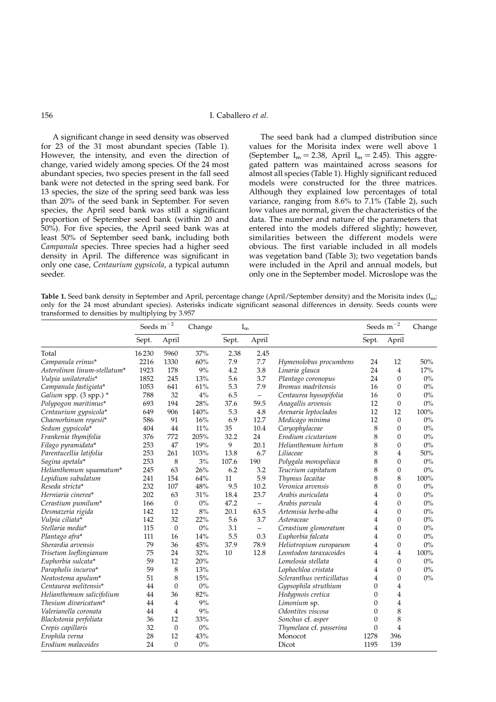A significant change in seed density was observed for 23 of the 31 most abundant species (Table 1). However, the intensity, and even the direction of change, varied widely among species. Of the 24 most abundant species, two species present in the fall seed bank were not detected in the spring seed bank. For 13 species, the size of the spring seed bank was less than 20% of the seed bank in September. For seven species, the April seed bank was still a significant proportion of September seed bank (within 20 and 50%). For five species, the April seed bank was at least 50% of September seed bank, including both Campanula species. Three species had a higher seed density in April. The difference was significant in only one case, Centaurium gypsicola, a typical autumn seeder.

The seed bank had a clumped distribution since values for the Morisita index were well above 1 (September I<sub>m</sub> = 2.38, April I<sub>m</sub> = 2.45). This aggregated pattern was maintained across seasons for almost all species (Table 1). Highly significant reduced models were constructed for the three matrices. Although they explained low percentages of total variance, ranging from 8.6% to 7.1% [\(Table 2](#page-4-0)), such low values are normal, given the characteristics of the data. The number and nature of the parameters that entered into the models differed slightly; however, similarities between the different models were obvious. The first variable included in all models was vegetation band ([Table 3\)](#page-4-0); two vegetation bands were included in the April and annual models, but only one in the September model. Microslope was the

Table 1. Seed bank density in September and April, percentage change (April/September density) and the Morisita index ( $I_m$ ; only for the 24 most abundant species). Asterisks indicate significant seasonal differences in density. Seeds counts were transformed to densities by multiplying by 3.957

|                              | Seeds $\mathrm{m}^{-2}$ |                | Change<br>$I_m$ |       |                          |                           | Seeds $\rm m^{-2}$ |                  | Change |
|------------------------------|-------------------------|----------------|-----------------|-------|--------------------------|---------------------------|--------------------|------------------|--------|
|                              | Sept.                   | April          |                 | Sept. | April                    |                           | Sept.              | April            |        |
| Total                        | 16230                   | 5960           | 37%             | 2.38  | 2.45                     |                           |                    |                  |        |
| Campanula erinus*            | 2216                    | 1330           | 60%             | 7.9   | 7.7                      | Hymenolobus procumbens    | 24                 | 12               | $50\%$ |
| Asterolinon linum-stellatum* | 1923                    | 178            | 9%              | 4.2   | 3.8                      | Linaria glauca            | 24                 | $\overline{4}$   | 17%    |
| Vulpia unilateralis*         | 1852                    | 245            | 13%             | 5.6   | 3.7                      | Plantago coronopus        | 24                 | $\theta$         | $0\%$  |
| Campanula fastigiata*        | 1053                    | 641            | 61%             | 5.3   | 7.9                      | Bromus madritensis        | 16                 | 0                | $0\%$  |
| Galium spp. (3 spp.) *       | 788                     | 32             | 4%              | 6.5   | $\overline{\phantom{a}}$ | Centaurea hyssopifolia    | 16                 | 0                | $0\%$  |
| Polypogon maritimus*         | 693                     | 194            | 28%             | 37.6  | 59.5                     | Anagallis arvensis        | 12                 | $\mathbf{0}$     | $0\%$  |
| Centaurium gypsicola*        | 649                     | 906            | 140%            | 5.3   | 4.8                      | Arenaria leptoclados      | 12                 | 12               | 100%   |
| Chaenorhinum reyesii*        | 586                     | 91             | 16%             | 6.9   | 12.7                     | Medicago minima           | 12                 | $\mathbf{0}$     | $0\%$  |
| Sedum gypsicola*             | 404                     | 44             | 11%             | 35    | 10.4                     | Caryophylaceae            | 8                  | $\Omega$         | $0\%$  |
| Frankenia thymifolia         | 376                     | 772            | 205%            | 32.2  | 24                       | Erodium cicutarium        | 8                  | $\mathbf{0}$     | $0\%$  |
| Filago pyramidata*           | 253                     | 47             | 19%             | 9     | 20.1                     | Helianthemum hirtum       | 8                  | $\mathbf{0}$     | $0\%$  |
| Parentucellia latifolia      | 253                     | 261            | 103%            | 13.8  | 6.7                      | Liliaceae                 | 8                  | 4                | 50%    |
| Sagina apetala*              | 253                     | 8              | 3%              | 107.6 | 190                      | Polygala monspeliaca      | 8                  | $\overline{0}$   | $0\%$  |
| Helianthemum squamatum*      | 245                     | 63             | 26%             | 6.2   | 3.2                      | Teucrium capitatum        | 8                  | $\boldsymbol{0}$ | $0\%$  |
| Lepidium subulatum           | 241                     | 154            | 64%             | 11    | 5.9                      | Thymus lacaitae           | 8                  | 8                | 100%   |
| Reseda stricta*              | 232                     | 107            | 48%             | 9.5   | 10.2                     | Veronica arvensis         | 8                  | $\mathbf{0}$     | $0\%$  |
| Herniaria cinerea*           | 202                     | 63             | 31%             | 18.4  | 23.7                     | Arabis auriculata         | 4                  | $\Omega$         | $0\%$  |
| Cerastium pumilum*           | 166                     | $\theta$       | $0\%$           | 47.2  | $\equiv$                 | Arabis parvula            | 4                  | $\theta$         | $0\%$  |
| Desmazeria rigida            | 142                     | 12             | $8\%$           | 20.1  | 63.5                     | Artemisia herba-alba      | 4                  | $\theta$         | $0\%$  |
| Vulpia ciliata*              | 142                     | 32             | 22%             | 5.6   | 3.7                      | Asteraceae                | 4                  | $\mathbf{0}$     | $0\%$  |
| Stellaria media*             | 115                     | $\theta$       | $0\%$           | 3.1   | $\overline{\phantom{0}}$ | Cerastium glomeratum      | $\overline{4}$     | $\mathbf{0}$     | $0\%$  |
| Plantago afra*               | 111                     | 16             | 14%             | 5.5   | 0.3                      | Euphorbia falcata         | $\overline{4}$     | $\mathbf{0}$     | $0\%$  |
| Sherardia arvensis           | 79                      | 36             | 45%             | 37.9  | 78.9                     | Heliotropium europaeum    | 4                  | $\mathbf{0}$     | $0\%$  |
| Trisetum loeflingianum       | 75                      | 24             | 32%             | 10    | 12.8                     | Leontodon taraxacoides    | $\overline{4}$     | $\overline{4}$   | 100%   |
| Euphorbia sulcata*           | 59                      | 12             | 20%             |       |                          | Lomelosia stellata        | 4                  | $\mathbf{0}$     | $0\%$  |
| Parapholis incurva*          | 59                      | 8              | 13%             |       |                          | Lophochloa cristata       | 4                  | $\mathbf{0}$     | $0\%$  |
| Neatostema apulum*           | 51                      | 8              | 15%             |       |                          | Scleranthus verticillatus | 4                  | $\theta$         | $0\%$  |
| Centaurea melitensis*        | 44                      | $\overline{0}$ | $0\%$           |       |                          | Gypsophila struthium      | $\overline{0}$     | 4                |        |
| Helianthemum salicifolium    | 44                      | 36             | 82%             |       |                          | Hedypnois cretica         | 0                  | 4                |        |
| Thesium divaricatum*         | 44                      | 4              | 9%              |       |                          | Limonium sp.              | $\Omega$           | 4                |        |
| Valerianella coronata        | 44                      | $\overline{4}$ | 9%              |       |                          | Odontites viscosa         | $\Omega$           | 8                |        |
| Blackstonia perfoliata       | 36                      | 12             | 33%             |       |                          | Sonchus cf. asper         | 0                  | 8                |        |
| Crepis capillaris            | 32                      | $\theta$       | $0\%$           |       |                          | Thymelaea cf. passerina   | $\mathbf{0}$       | 4                |        |
| Erophila verna               | 28                      | 12             | 43%             |       |                          | Monocot                   | 1278               | 396              |        |
| Erodium malacoides           | 24                      | $\theta$       | $0\%$           |       |                          | Dicot                     | 1195               | 139              |        |

<span id="page-3-0"></span>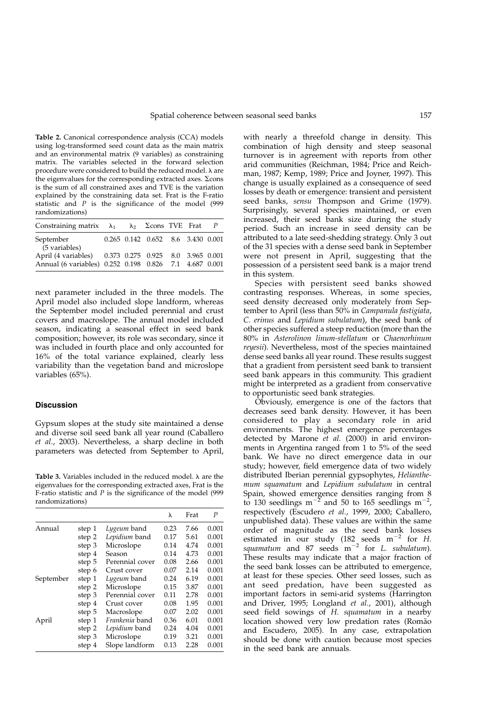<span id="page-4-0"></span>Table 2. Canonical correspondence analysis (CCA) models using log-transformed seed count data as the main matrix and an environmental matrix (9 variables) as constraining matrix. The variables selected in the forward selection procedure were considered to build the reduced model.  $\lambda$  are the eigenvalues for the corresponding extracted axes.  $\Sigma$ cons is the sum of all constrained axes and TVE is the variation explained by the constraining data set. Frat is the F-ratio statistic and P is the significance of the model (999 randomizations)

| Constraining matrix $\lambda_1$ $\lambda_2$ $\lambda_3$ $\lambda_5$ $\lambda_7$ $\lambda_8$ TVE Frat |  |                                   |  | P |
|------------------------------------------------------------------------------------------------------|--|-----------------------------------|--|---|
| September                                                                                            |  | 0.265 0.142 0.652 8.6 3.430 0.001 |  |   |
| (5 variables)                                                                                        |  |                                   |  |   |
| April (4 variables) 0.373 0.275 0.925 8.0 3.965 0.001                                                |  |                                   |  |   |
| Annual (6 variables) 0.252 0.198 0.826 7.1 4.687 0.001                                               |  |                                   |  |   |

next parameter included in the three models. The April model also included slope landform, whereas the September model included perennial and crust covers and macroslope. The annual model included season, indicating a seasonal effect in seed bank composition; however, its role was secondary, since it was included in fourth place and only accounted for 16% of the total variance explained, clearly less variability than the vegetation band and microslope variables (65%).

# **Discussion**

Gypsum slopes at the study site maintained a dense and diverse soil seed bank all year round (Caballero et al., 2003). Nevertheless, a sharp decline in both parameters was detected from September to April,

Table 3. Variables included in the reduced model.  $\lambda$  are the eigenvalues for the corresponding extracted axes, Frat is the F-ratio statistic and P is the significance of the model (999 randomizations)

|           |        |                 | λ    | Frat | P     |
|-----------|--------|-----------------|------|------|-------|
| Annual    | step 1 | Lygeum band     | 0.23 | 7.66 | 0.001 |
|           | step 2 | Lepidium band   | 0.17 | 5.61 | 0.001 |
|           | step 3 | Microslope      | 0.14 | 4.74 | 0.001 |
|           | step 4 | Season          | 0.14 | 4.73 | 0.001 |
|           | step 5 | Perennial cover | 0.08 | 2.66 | 0.001 |
|           | step 6 | Crust cover     | 0.07 | 2.14 | 0.001 |
| September | step 1 | Lygeum band     | 0.24 | 6.19 | 0.001 |
|           | step 2 | Microslope      | 0.15 | 3.87 | 0.001 |
|           | step 3 | Perennial cover | 0.11 | 2.78 | 0.001 |
|           | step 4 | Crust cover     | 0.08 | 1.95 | 0.001 |
|           | step 5 | Macroslope      | 0.07 | 2.02 | 0.001 |
| April     | step 1 | Frankenia band  | 0.36 | 6.01 | 0.001 |
|           | step 2 | Lepidium band   | 0.24 | 4.04 | 0.001 |
|           | step 3 | Microslope      | 0.19 | 3.21 | 0.001 |
|           | step 4 | Slope landform  | 0.13 | 2.28 | 0.001 |

with nearly a threefold change in density. This combination of high density and steep seasonal turnover is in agreement with reports from other arid communities (Reichman, 1984; Price and Reichman, 1987; Kemp, 1989; Price and Joyner, 1997). This change is usually explained as a consequence of seed losses by death or emergence: transient and persistent seed banks, sensu Thompson and Grime (1979). Surprisingly, several species maintained, or even increased, their seed bank size during the study period. Such an increase in seed density can be attributed to a late seed-shedding strategy. Only 3 out of the 31 species with a dense seed bank in September were not present in April, suggesting that the possession of a persistent seed bank is a major trend in this system.

Species with persistent seed banks showed contrasting responses. Whereas, in some species, seed density decreased only moderately from September to April (less than 50% in Campanula fastigiata, C. erinus and Lepidium subulatum), the seed bank of other species suffered a steep reduction (more than the 80% in Asterolinon linum-stellatum or Chaenorhinum reyesii). Nevertheless, most of the species maintained dense seed banks all year round. These results suggest that a gradient from persistent seed bank to transient seed bank appears in this community. This gradient might be interpreted as a gradient from conservative to opportunistic seed bank strategies.

Obviously, emergence is one of the factors that decreases seed bank density. However, it has been considered to play a secondary role in arid environments. The highest emergence percentages detected by Marone  $\check{e}t$  al. (2000) in arid environments in Argentina ranged from 1 to 5% of the seed bank. We have no direct emergence data in our study; however, field emergence data of two widely distributed Iberian perennial gypsophytes, Helianthemum squamatum and Lepidium subulatum in central Spain, showed emergence densities ranging from 8 to 130 seedlings  $m^{-2}$  and 50 to 165 seedlings  $m^{-2}$ , respectively (Escudero et al., 1999, 2000; Caballero, unpublished data). These values are within the same order of magnitude as the seed bank losses estimated in our study (182 seeds  $m^{-2}$  for H. squamatum and 87 seeds  $m^{-2}$  for L. subulatum). These results may indicate that a major fraction of the seed bank losses can be attributed to emergence, at least for these species. Other seed losses, such as ant seed predation, have been suggested as important factors in semi-arid systems (Harrington and Driver, 1995; Longland et al., 2001), although seed field sowings of H. squamatum in a nearby location showed very low predation rates (Romão and Escudero, 2005). In any case, extrapolation should be done with caution because most species in the seed bank are annuals.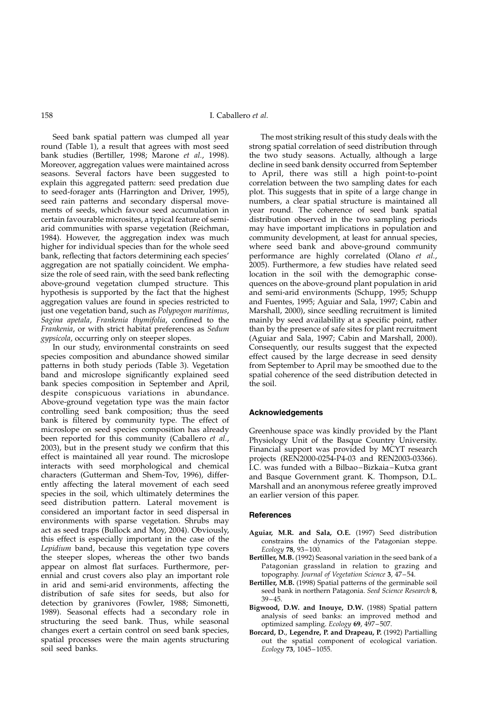Seed bank spatial pattern was clumped all year round ([Table 1\)](#page-3-0), a result that agrees with most seed bank studies (Bertiller, 1998; Marone et al., 1998). Moreover, aggregation values were maintained across seasons. Several factors have been suggested to explain this aggregated pattern: seed predation due to seed-forager ants (Harrington and Driver, 1995), seed rain patterns and secondary dispersal movements of seeds, which favour seed accumulation in certain favourable microsites, a typical feature of semiarid communities with sparse vegetation (Reichman, 1984). However, the aggregation index was much higher for individual species than for the whole seed bank, reflecting that factors determining each species' aggregation are not spatially coincident. We emphasize the role of seed rain, with the seed bank reflecting above-ground vegetation clumped structure. This hypothesis is supported by the fact that the highest aggregation values are found in species restricted to just one vegetation band, such as Polypogon maritimus, Sagina apetala, Frankenia thymifolia, confined to the Frankenia, or with strict habitat preferences as Sedum gypsicola, occurring only on steeper slopes.

In our study, environmental constraints on seed species composition and abundance showed similar patterns in both study periods ([Table 3\)](#page-4-0). Vegetation band and microslope significantly explained seed bank species composition in September and April, despite conspicuous variations in abundance. Above-ground vegetation type was the main factor controlling seed bank composition; thus the seed bank is filtered by community type. The effect of microslope on seed species composition has already been reported for this community (Caballero et al., 2003), but in the present study we confirm that this effect is maintained all year round. The microslope interacts with seed morphological and chemical characters (Gutterman and Shem-Tov, 1996), differently affecting the lateral movement of each seed species in the soil, which ultimately determines the seed distribution pattern. Lateral movement is considered an important factor in seed dispersal in environments with sparse vegetation. Shrubs may act as seed traps (Bullock and Moy, 2004). Obviously, this effect is especially important in the case of the Lepidium band, because this vegetation type covers the steeper slopes, whereas the other two bands appear on almost flat surfaces. Furthermore, perennial and crust covers also play an important role in arid and semi-arid environments, affecting the distribution of safe sites for seeds, but also for detection by granivores (Fowler, 1988; Simonetti, 1989). Seasonal effects had a secondary role in structuring the seed bank. Thus, while seasonal changes exert a certain control on seed bank species, spatial processes were the main agents structuring soil seed banks.

The most striking result of this study deals with the strong spatial correlation of seed distribution through the two study seasons. Actually, although a large decline in seed bank density occurred from September to April, there was still a high point-to-point correlation between the two sampling dates for each plot. This suggests that in spite of a large change in numbers, a clear spatial structure is maintained all year round. The coherence of seed bank spatial distribution observed in the two sampling periods may have important implications in population and community development, at least for annual species, where seed bank and above-ground community performance are highly correlated (Olano et al., 2005). Furthermore, a few studies have related seed location in the soil with the demographic consequences on the above-ground plant population in arid and semi-arid environments (Schupp, 1995; Schupp and Fuentes, 1995; Aguiar and Sala, 1997; Cabin and Marshall, 2000), since seedling recruitment is limited mainly by seed availability at a specific point, rather than by the presence of safe sites for plant recruitment (Aguiar and Sala, 1997; Cabin and Marshall, 2000). Consequently, our results suggest that the expected effect caused by the large decrease in seed density from September to April may be smoothed due to the spatial coherence of the seed distribution detected in the soil.

#### Acknowledgements

Greenhouse space was kindly provided by the Plant Physiology Unit of the Basque Country University. Financial support was provided by MCYT research projects (REN2000-0254-P4-03 and REN2003-03366). I.C. was funded with a Bilbao–Bizkaia–Kutxa grant and Basque Government grant. K. Thompson, D.L. Marshall and an anonymous referee greatly improved an earlier version of this paper.

# **References**

- Aguiar, M.R. and Sala, O.E. (1997) Seed distribution constrains the dynamics of the Patagonian steppe. Ecology 78, 93–100.
- Bertiller, M.B. (1992) Seasonal variation in the seed bank of a Patagonian grassland in relation to grazing and topography. Journal of Vegetation Science 3, 47–54.
- Bertiller, M.B. (1998) Spatial patterns of the germinable soil seed bank in northern Patagonia. Seed Science Research 8, 39–45.
- Bigwood, D.W. and Inouye, D.W. (1988) Spatial pattern analysis of seed banks: an improved method and optimized sampling. Ecology 69, 497–507.
- Borcard, D., Legendre, P. and Drapeau, P. (1992) Partialling out the spatial component of ecological variation. Ecology 73, 1045–1055.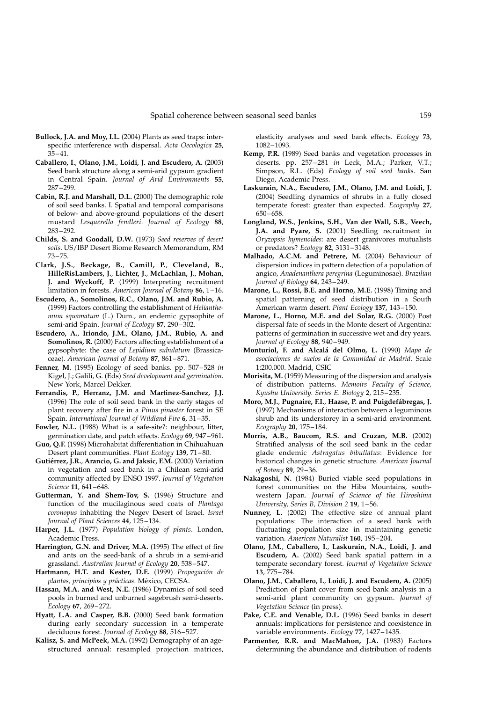- Bullock, J.A. and Moy, I.L. (2004) Plants as seed traps: interspecific interference with dispersal. Acta Oecologica 25, 35–41.
- Caballero, I., Olano, J.M., Loidi, J. and Escudero, A. (2003) Seed bank structure along a semi-arid gypsum gradient in Central Spain. Journal of Arid Environments 55, 287–299.
- Cabin, R.J. and Marshall, D.L. (2000) The demographic role of soil seed banks. I. Spatial and temporal comparisons of below- and above-ground populations of the desert mustard Lesquerella fendleri. Journal of Ecology 88, 283–292.
- Childs, S. and Goodall, D.W. (1973) Seed reserves of desert soils. US/IBP Desert Biome Research Memorandum, RM 73–75.
- Clark, J.S., Beckage, B., Camill, P., Cleveland, B., HilleRisLambers, J., Lichter, J., McLachlan, J., Mohan, J. and Wyckoff, P. (1999) Interpreting recruitment limitation in forests. American Journal of Botany 86, 1–16.
- Escudero, A., Somolinos, R.C., Olano, J.M. and Rubio, A. (1999) Factors controlling the establishment of Helianthemum squamatum (L.) Dum., an endemic gypsophite of semi-arid Spain. Journal of Ecology 87, 290-302.
- Escudero, A., Iriondo, J.M., Olano, J.M., Rubio, A. and Somolinos, R. (2000) Factors affecting establishment of a gypsophyte: the case of Lepidium subulatum (Brassicaceae). American Journal of Botany 87, 861–871.
- Fenner, M. (1995) Ecology of seed banks. pp. 507–528 in Kigel, J.; Galili, G. (Eds) Seed development and germination. New York, Marcel Dekker.
- Ferrandis, P., Herranz, J.M. and Martinez-Sanchez, J.J. (1996) The role of soil seed bank in the early stages of plant recovery after fire in a Pinus pinaster forest in SE Spain. International Journal of Wildland Fire 6, 31-35.
- Fowler, N.L. (1988) What is a safe-site?: neighbour, litter, germination date, and patch effects. Ecology 69, 947-961.
- Guo, Q.F. (1998) Microhabitat differentiation in Chihuahuan Desert plant communities. Plant Ecology 139, 71–80.
- Gutiérrez, J.R., Arancio, G. and Jaksic, F.M. (2000) Variation in vegetation and seed bank in a Chilean semi-arid community affected by ENSO 1997. Journal of Vegetation Science 11, 641–648.
- Gutterman, Y. and Shem-Tov, S. (1996) Structure and function of the mucilaginous seed coats of Plantago coronopus inhabiting the Negev Desert of Israel. Israel Journal of Plant Sciences 44, 125–134.
- Harper, J.L. (1977) Population biology of plants. London, Academic Press.
- Harrington, G.N. and Driver, M.A. (1995) The effect of fire and ants on the seed-bank of a shrub in a semi-arid grassland. Australian Journal of Ecology 20, 538–547.
- Hartmann, H.T. and Kester, D.E. (1999) Propagación de plantas, principios y prácticas. México, CECSA.
- Hassan, M.A. and West, N.E. (1986) Dynamics of soil seed pools in burned and unburned sagebrush semi-deserts. Ecology 67, 269–272.
- Hyatt, L.A. and Casper, B.B. (2000) Seed bank formation during early secondary succession in a temperate deciduous forest. Journal of Ecology 88, 516–527.
- Kalisz, S. and McPeek, M.A. (1992) Demography of an agestructured annual: resampled projection matrices,

elasticity analyses and seed bank effects. Ecology 73, 1082–1093.

- Kemp, P.R. (1989) Seed banks and vegetation processes in deserts. pp. 257–281 in Leck, M.A.; Parker, V.T.; Simpson, R.L. (Eds) Ecology of soil seed banks. San Diego, Academic Press.
- Laskurain, N.A., Escudero, J.M., Olano, J.M. and Loidi, J. (2004) Seedling dynamics of shrubs in a fully closed temperate forest: greater than expected. Ecography 27, 650–658.
- Longland, W.S., Jenkins, S.H., Van der Wall, S.B., Veech, J.A. and Pyare, S. (2001) Seedling recruitment in Oryzopsis hymenoides: are desert granivores mutualists or predators? Ecology 82, 3131–3148.
- Malhado, A.C.M. and Petrere, M. (2004) Behaviour of dispersion indices in pattern detection of a population of angico, Anadenanthera peregrina (Leguminosae). Brazilian Journal of Biology 64, 243–249.
- Marone, L., Rossi, B.E. and Horno, M.E. (1998) Timing and spatial patterning of seed distribution in a South American warm desert. Plant Ecology 137, 143–150.
- Marone, L., Horno, M.E. and del Solar, R.G. (2000) Post dispersal fate of seeds in the Monte desert of Argentina: patterns of germination in successive wet and dry years. Journal of Ecology 88, 940–949.
- Monturiol, F. and Alcalá del Olmo, L. (1990) Mapa de asociaciones de suelos de la Comunidad de Madrid. Scale 1:200.000. Madrid, CSIC
- Morisita, M. (1959) Measuring of the dispersion and analysis of distribution patterns. Memoirs Faculty of Science, Kyushu University. Series E. Biology 2, 215–235.
- Moro, M.J., Pugnaire, F.I., Haase, P. and Puigdefábregas, J. (1997) Mechanisms of interaction between a leguminous shrub and its understorey in a semi-arid environment. Ecography 20, 175–184.
- Morris, A.B., Baucom, R.S. and Cruzan, M.B. (2002) Stratified analysis of the soil seed bank in the cedar glade endemic Astragalus bibullatus: Evidence for historical changes in genetic structure. American Journal of Botany 89, 29–36.
- Nakagoshi, N. (1984) Buried viable seed populations in forest communities on the Hiba Mountains, southwestern Japan. Journal of Science of the Hiroshima University, Series B, Division 2 19, 1–56.
- Nunney, L. (2002) The effective size of annual plant populations: The interaction of a seed bank with fluctuating population size in maintaining genetic variation. American Naturalist 160, 195–204.
- Olano, J.M., Caballero, I., Laskurain, N.A., Loidi, J. and Escudero, A. (2002) Seed bank spatial pattern in a temperate secondary forest. Journal of Vegetation Science 13, 775–784.
- Olano, J.M., Caballero, I., Loidi, J. and Escudero, A. (2005) Prediction of plant cover from seed bank analysis in a semi-arid plant community on gypsum. Journal of Vegetation Science (in press).
- Pake, C.E. and Venable, D.L. (1996) Seed banks in desert annuals: implications for persistence and coexistence in variable environments. Ecology 77, 1427-1435.
- Parmenter, R.R. and MacMahon, J.A. (1983) Factors determining the abundance and distribution of rodents